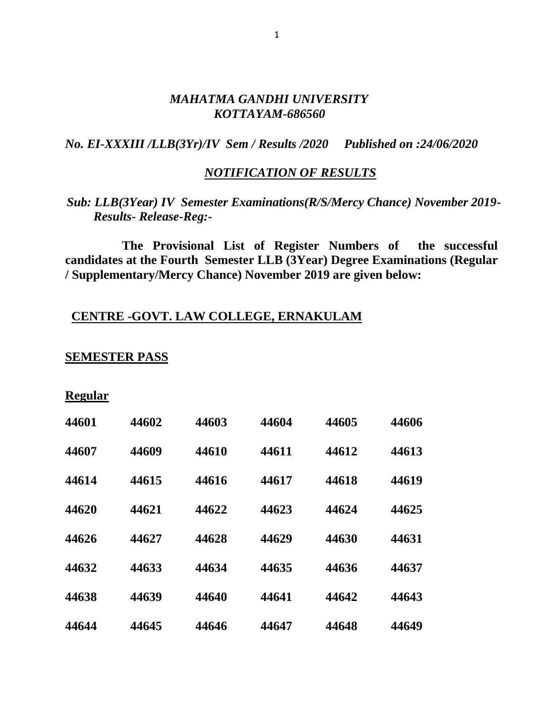#### *MAHATMA GANDHI UNIVERSITY KOTTAYAM-686560*

*No. EI-XXXIII /LLB(3Yr)/IV Sem / Results /2020 Published on :24/06/2020*

#### *NOTIFICATION OF RESULTS*

## *Sub: LLB(3Year) IV Semester Examinations(R/S/Mercy Chance) November 2019- Results- Release-Reg:-*

 **The Provisional List of Register Numbers of the successful candidates at the Fourth Semester LLB (3Year) Degree Examinations (Regular / Supplementary/Mercy Chance) November 2019 are given below:**

### **CENTRE -GOVT. LAW COLLEGE, ERNAKULAM**

#### **SEMESTER PASS**

| PO1112<br>к |
|-------------|
|-------------|

| 44601 | 44602 | 44603 | 44604 | 44605 | 44606 |
|-------|-------|-------|-------|-------|-------|
| 44607 | 44609 | 44610 | 44611 | 44612 | 44613 |
| 44614 | 44615 | 44616 | 44617 | 44618 | 44619 |
| 44620 | 44621 | 44622 | 44623 | 44624 | 44625 |
| 44626 | 44627 | 44628 | 44629 | 44630 | 44631 |
| 44632 | 44633 | 44634 | 44635 | 44636 | 44637 |
| 44638 | 44639 | 44640 | 44641 | 44642 | 44643 |
| 44644 | 44645 | 44646 | 44647 | 44648 | 44649 |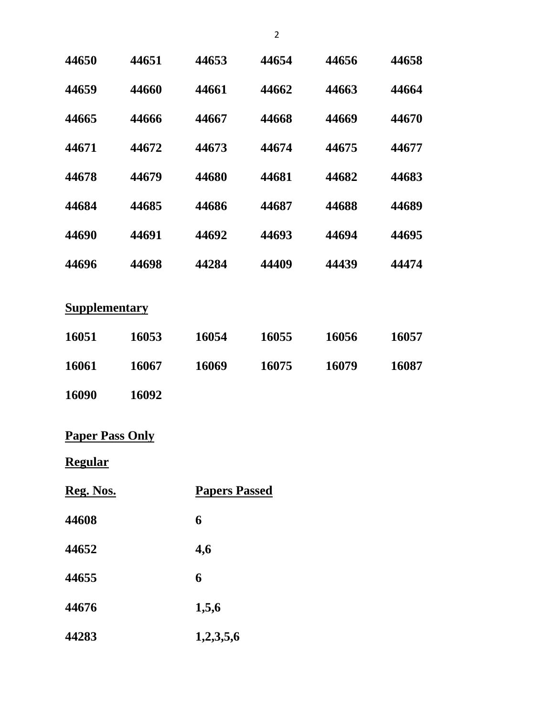| 44650                                    | 44651 | 44653                | 44654 | 44656 | 44658 |
|------------------------------------------|-------|----------------------|-------|-------|-------|
| 44659                                    | 44660 | 44661                | 44662 | 44663 | 44664 |
| 44665                                    | 44666 | 44667                | 44668 | 44669 | 44670 |
| 44671                                    | 44672 | 44673                | 44674 | 44675 | 44677 |
| 44678                                    | 44679 | 44680                | 44681 | 44682 | 44683 |
| 44684                                    | 44685 | 44686                | 44687 | 44688 | 44689 |
| 44690                                    | 44691 | 44692                | 44693 | 44694 | 44695 |
| 44696                                    | 44698 | 44284                | 44409 | 44439 | 44474 |
| <b>Supplementary</b>                     |       |                      |       |       |       |
| 16051                                    | 16053 | 16054                | 16055 | 16056 | 16057 |
| 16061                                    | 16067 | 16069                | 16075 | 16079 | 16087 |
| 16090                                    | 16092 |                      |       |       |       |
| <b>Paper Pass Only</b><br><b>Regular</b> |       |                      |       |       |       |
| Reg. Nos.                                |       | <b>Papers Passed</b> |       |       |       |
| 44608                                    |       | 6                    |       |       |       |
| 44652                                    |       | 4,6                  |       |       |       |

**6**

**1,5,6**

**1,2,3,5,6**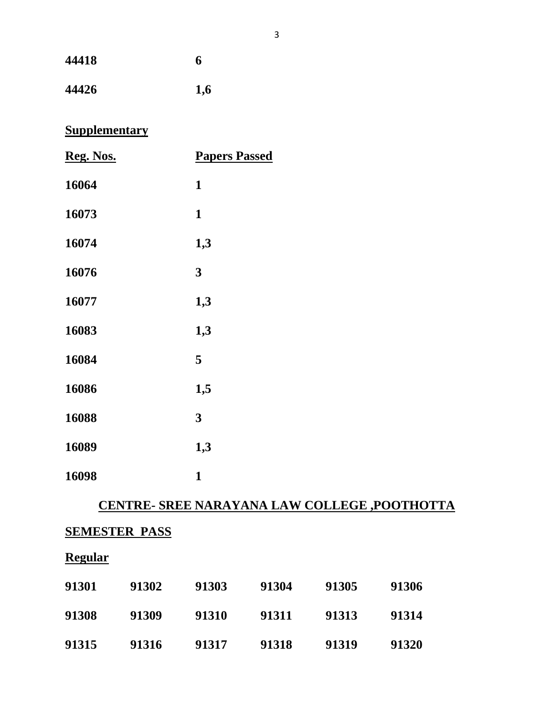| 44418 | 6   |
|-------|-----|
| 44426 | 1,6 |

# **Supplementary**

| Reg. Nos. | <b>Papers Passed</b> |
|-----------|----------------------|
| 16064     | $\mathbf{1}$         |
| 16073     | $\mathbf{1}$         |
| 16074     | 1,3                  |
| 16076     | 3                    |
| 16077     | 1,3                  |
| 16083     | 1,3                  |
| 16084     | 5                    |
| 16086     | 1,5                  |
| 16088     | 3                    |
| 16089     | 1,3                  |
| 16098     | $\mathbf{1}$         |

# **CENTRE- SREE NARAYANA LAW COLLEGE ,POOTHOTTA**

# **SEMESTER PASS**

## **Regular**

| 91301 | 91302 | 91303 | 91304 | 91305 | 91306 |
|-------|-------|-------|-------|-------|-------|
| 91308 | 91309 | 91310 | 91311 | 91313 | 91314 |
| 91315 | 91316 | 91317 | 91318 | 91319 | 91320 |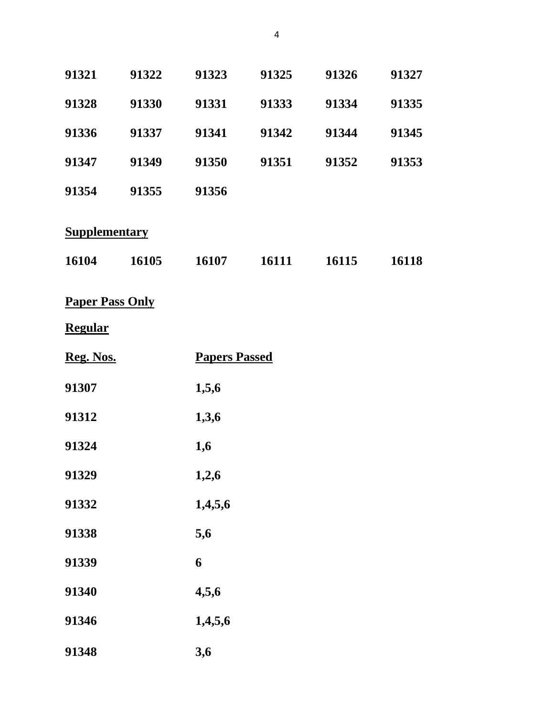| 91321                         | 91322 | 91323                | 91325 | 91326 | 91327 |
|-------------------------------|-------|----------------------|-------|-------|-------|
| 91328                         | 91330 | 91331                | 91333 | 91334 | 91335 |
| 91336                         | 91337 | 91341                | 91342 | 91344 | 91345 |
| 91347                         | 91349 | 91350                | 91351 | 91352 | 91353 |
| 91354                         | 91355 | 91356                |       |       |       |
| <b>Supplementary</b><br>16104 | 16105 | 16107                | 16111 | 16115 | 16118 |
|                               |       |                      |       |       |       |
| <b>Paper Pass Only</b>        |       |                      |       |       |       |
| <b>Regular</b>                |       |                      |       |       |       |
| Reg. Nos.                     |       | <b>Papers Passed</b> |       |       |       |
|                               |       |                      |       |       |       |
| 91307                         |       | 1,5,6                |       |       |       |
| 91312                         |       | 1,3,6                |       |       |       |
| 91324                         |       | 1,6                  |       |       |       |
| 91329                         |       | 1,2,6                |       |       |       |
| 91332                         |       | 1,4,5,6              |       |       |       |
| 91338                         |       | 5,6                  |       |       |       |
| 91339                         |       | 6                    |       |       |       |
| 91340                         |       | 4,5,6                |       |       |       |
| 91346                         |       | 1,4,5,6              |       |       |       |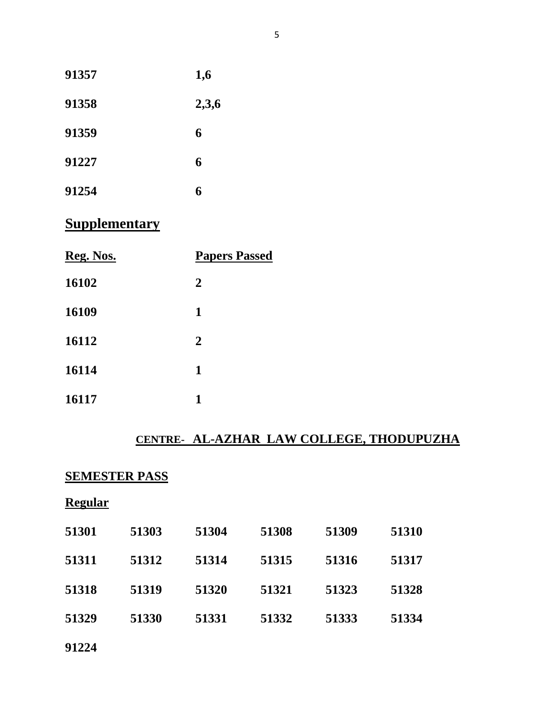| 91357 | 1,6   |
|-------|-------|
| 91358 | 2,3,6 |
| 91359 | 6     |
| 91227 | 6     |
| 91254 | 6     |

# **Supplementary**

| Reg. Nos. | <b>Papers Passed</b> |  |
|-----------|----------------------|--|
| 16102     | $\overline{2}$       |  |
| 16109     | $\mathbf{1}$         |  |
| 16112     | $\overline{2}$       |  |
| 16114     | 1                    |  |
| 16117     | 1                    |  |

## **CENTRE- AL-AZHAR LAW COLLEGE, THODUPUZHA**

### **SEMESTER PASS**

| וופ<br>ч<br>я |
|---------------|
|---------------|

| 51301 | 51303 | 51304 | 51308 | 51309 | 51310 |
|-------|-------|-------|-------|-------|-------|
| 51311 | 51312 | 51314 | 51315 | 51316 | 51317 |
| 51318 | 51319 | 51320 | 51321 | 51323 | 51328 |
| 51329 | 51330 | 51331 | 51332 | 51333 | 51334 |
|       |       |       |       |       |       |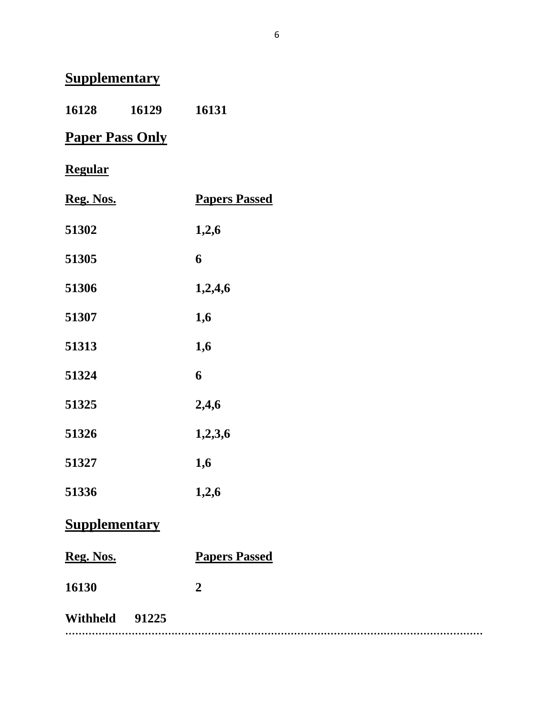# **Supplementary**

**16129 16131**

# **Paper Pass Only**

# **Regular**

| Reg. Nos. | <b>Papers Passed</b> |
|-----------|----------------------|
| 51302     | 1,2,6                |
| 51305     | 6                    |
| 51306     | 1,2,4,6              |
| 51307     | 1,6                  |
| 51313     | 1,6                  |
| 51324     | 6                    |
| 51325     | 2,4,6                |
| 51326     | 1,2,3,6              |
| 51327     | 1,6                  |
| 51336     | 1,2,6                |
|           |                      |

# **Supplementary**

| Reg. Nos.      | <b>Papers Passed</b> |
|----------------|----------------------|
| 16130          | $\mathbf{2}$         |
| Withheld 91225 |                      |